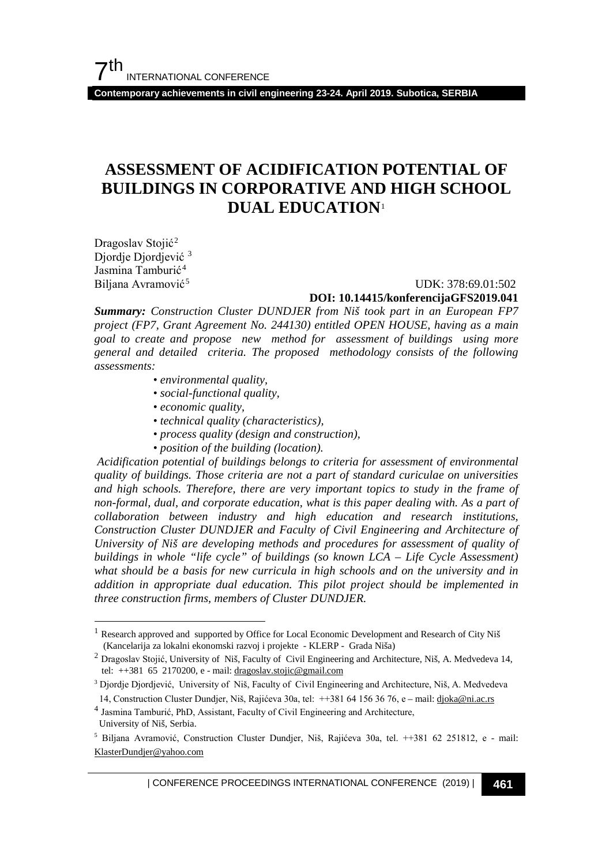## **ASSESSMENT OF ACIDIFICATION POTENTIAL OF BUILDINGS IN CORPORATIVE AND HIGH SCHOOL DUAL EDUCATION**[1](#page-0-0)

Dragoslav Stojić<sup>[2](#page-0-1)</sup> Djordje Djordjević [3](#page-0-2) Jasmina Tamburić<sup>[4](#page-0-3)</sup> Biljana Avramović<sup>[5](#page-0-4)</sup>

#### UDK: 378:69.01:502 **DOI: 10.14415/konferencijaGFS2019.041**

*Summary: Construction Cluster DUNDJER from Niš took part in an European FP7 project (FP7, Grant Agreement No. 244130) entitled OPEN HOUSE, having as a main goal to create and propose new method for assessment of buildings using more general and detailed criteria. The proposed methodology consists of the following assessments:*

- *environmental quality,*
- *social-functional quality,*
- *economic quality,*
- *technical quality (characteristics),*
- *process quality (design and construction),*
- *position of the building (location).*

*Acidification potential of buildings belongs to criteria for assessment of environmental quality of buildings. Those criteria are not a part of standard curiculae on universities and high schools. Therefore, there are very important topics to study in the frame of non-formal, dual, and corporate education, what is this paper dealing with. As a part of collaboration between industry and high education and research institutions, Construction Cluster DUNDJER and Faculty of Civil Engineering and Architecture of University of Niš are developing methods and procedures for assessment of quality of buildings in whole "life cycle" of buildings (so known LCA – Life Cycle Assessment) what should be a basis for new curricula in high schools and on the university and in addition in appropriate dual education. This pilot project should be implemented in three construction firms, members of Cluster DUNDJER.* 

<span id="page-0-0"></span>Research approved and supported by Office for Local Economic Development and Research of City Niš (Kancelarija za lokalni ekonomski razvoj i projekte - KLERP - Grada Niša)

<span id="page-0-1"></span><sup>2</sup> Dragoslav Stojić, University of Niš, Faculty of Civil Engineering and Architecture, Niš, A. Medvedeva 14, tel: ++381 65 2170200, e - mail[: dragoslav.stojic@gmail.com](mailto:dragoslav.stojic@gmail.com) 

<span id="page-0-2"></span><sup>3</sup> Djordje Djordjević, University of Niš, Faculty of Civil Engineering and Architecture, Niš, A. Medvedeva 14, Construction Cluster Dundjer, Niš, Rajićeva 30a, tel: ++381 64 156 36 76, e – mail[: djoka@ni.ac.rs](mailto:djoka@ni.ac.rs) 4 Jasmina Tamburić, PhD, Assistant, Faculty of Civil Engineering and Architecture,

<span id="page-0-3"></span>University of Niš, Serbia.

<span id="page-0-4"></span><sup>5</sup> Biljana Avramović, Construction Cluster Dundjer, Niš, Rajićeva 30a, tel. ++381 62 251812, e - mail: [KlasterDundjer@yahoo.com](mailto:KlasterDundjer@yahoo.com)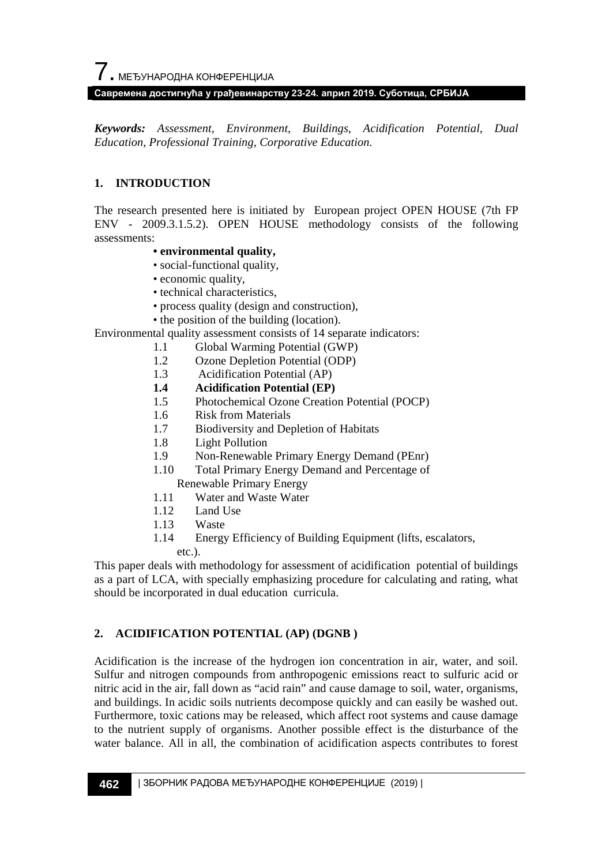*Keywords: Assessment, Environment, Buildings, Acidification Potential, Dual Education, Professional Training, Corporative Education.*

#### **1. INTRODUCTION**

The research presented here is initiated by European project OPEN HOUSE (7th FP ENV - 2009.3.1.5.2). OPEN HOUSE methodology consists of the following assessments:

#### **• environmental quality,**

- social-functional quality,
- economic quality,
- technical characteristics,
- process quality (design and construction),
- the position of the building (location).

Environmental quality assessment consists of 14 separate indicators:

- 1.1 Global Warming Potential (GWP)
- 1.2 Ozone Depletion Potential (ODP)<br>1.3 Acidification Potential (AP)
- Acidification Potential (AP)
- **1.4 Acidification Potential (EP)**
- 1.5 Photochemical Ozone Creation Potential (POCP)
- 1.6 Risk from Materials
- 1.7 Biodiversity and Depletion of Habitats
- 1.8 Light Pollution
- 1.9 Non-Renewable Primary Energy Demand (PEnr)
- 1.10 Total Primary Energy Demand and Percentage of Renewable Primary Energy
- 1.11 Water and Waste Water
- 1.12 Land Use
- 1.13 Waste
- 1.14 Energy Efficiency of Building Equipment (lifts, escalators, etc.).

This paper deals with methodology for assessment of acidification potential of buildings as a part of LCA, with specially emphasizing procedure for calculating and rating, what should be incorporated in dual education curricula.

## **2. ACIDIFICATION POTENTIAL (AP) (DGNB )**

Acidification is the increase of the hydrogen ion concentration in air, water, and soil. Sulfur and nitrogen compounds from anthropogenic emissions react to sulfuric acid or nitric acid in the air, fall down as "acid rain" and cause damage to soil, water, organisms, and buildings. In acidic soils nutrients decompose quickly and can easily be washed out. Furthermore, toxic cations may be released, which affect root systems and cause damage to the nutrient supply of organisms. Another possible effect is the disturbance of the water balance. All in all, the combination of acidification aspects contributes to forest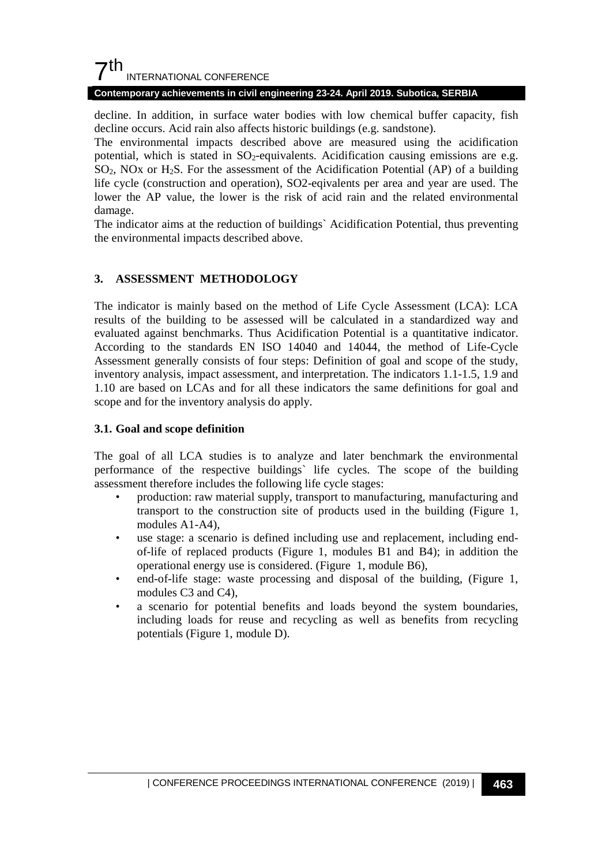## $7<sup>th</sup>$ INTERNATIONAL CONFERENCE

#### **Contemporary achievements in civil engineering 23-24. April 2019. Subotica, SERBIA**

decline. In addition, in surface water bodies with low chemical buffer capacity, fish decline occurs. Acid rain also affects historic buildings (e.g. sandstone).

The environmental impacts described above are measured using the acidification potential, which is stated in  $SO_2$ -equivalents. Acidification causing emissions are e.g.  $SO<sub>2</sub>$ , NOx or H<sub>2</sub>S. For the assessment of the Acidification Potential (AP) of a building life cycle (construction and operation), SO2-eqivalents per area and year are used. The lower the AP value, the lower is the risk of acid rain and the related environmental damage.

The indicator aims at the reduction of buildings` Acidification Potential, thus preventing the environmental impacts described above.

## **3. ASSESSMENT METHODOLOGY**

The indicator is mainly based on the method of Life Cycle Assessment (LCA): LCA results of the building to be assessed will be calculated in a standardized way and evaluated against benchmarks. Thus Acidification Potential is a quantitative indicator. According to the standards EN ISO 14040 and 14044, the method of Life-Cycle Assessment generally consists of four steps: Definition of goal and scope of the study, inventory analysis, impact assessment, and interpretation. The indicators 1.1-1.5, 1.9 and 1.10 are based on LCAs and for all these indicators the same definitions for goal and scope and for the inventory analysis do apply.

#### **3.1. Goal and scope definition**

The goal of all LCA studies is to analyze and later benchmark the environmental performance of the respective buildings` life cycles. The scope of the building assessment therefore includes the following life cycle stages:

- production: raw material supply, transport to manufacturing, manufacturing and transport to the construction site of products used in the building (Figure 1, modules A1-A4),
- use stage: a scenario is defined including use and replacement, including endof-life of replaced products (Figure 1, modules B1 and B4); in addition the operational energy use is considered. (Figure 1, module B6),
- end-of-life stage: waste processing and disposal of the building, (Figure 1, modules C3 and C4),
- a scenario for potential benefits and loads beyond the system boundaries, including loads for reuse and recycling as well as benefits from recycling potentials (Figure 1, module D).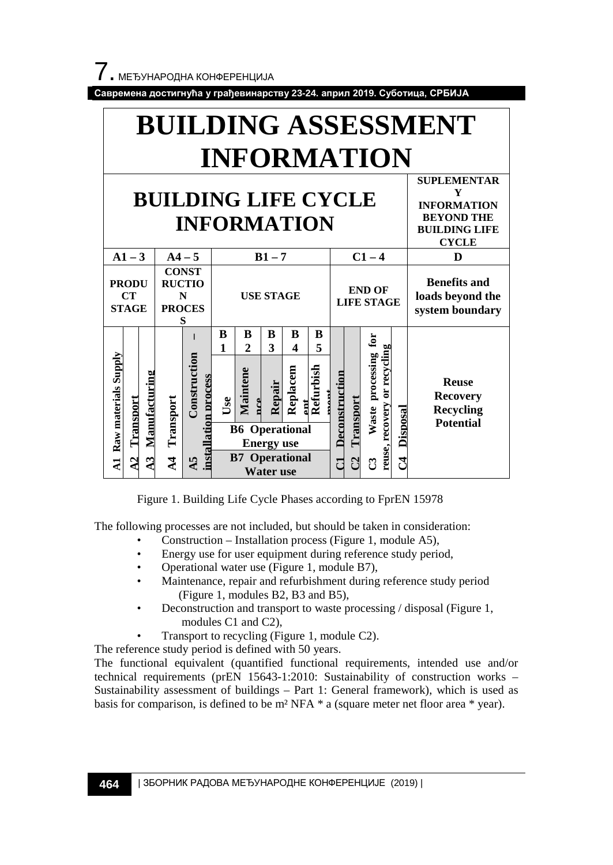



Figure 1. Building Life Cycle Phases according to FprEN 15978

The following processes are not included, but should be taken in consideration:

- Construction Installation process (Figure 1, module A5),
- Energy use for user equipment during reference study period,
- Operational water use (Figure 1, module B7),
- Maintenance, repair and refurbishment during reference study period (Figure 1, modules B2, B3 and B5),
- Deconstruction and transport to waste processing / disposal (Figure 1, modules C1 and C2),
- Transport to recycling (Figure 1, module C2).

The reference study period is defined with 50 years.

The functional equivalent (quantified functional requirements, intended use and/or technical requirements (prEN 15643-1:2010: Sustainability of construction works – Sustainability assessment of buildings – Part 1: General framework), which is used as basis for comparison, is defined to be m² NFA \* a (square meter net floor area \* year).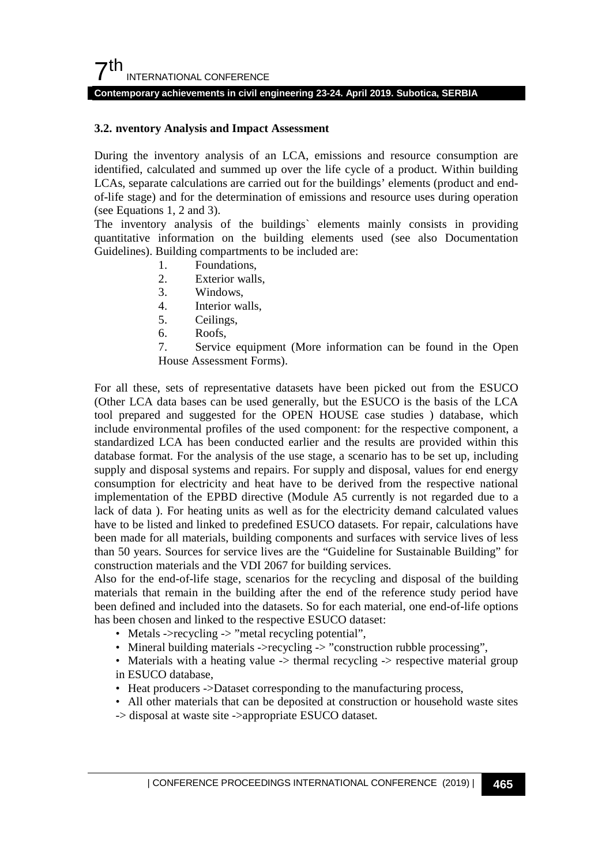#### **3.2. nventory Analysis and Impact Assessment**

During the inventory analysis of an LCA, emissions and resource consumption are identified, calculated and summed up over the life cycle of a product. Within building LCAs, separate calculations are carried out for the buildings' elements (product and endof-life stage) and for the determination of emissions and resource uses during operation (see Equations 1, 2 and 3).

The inventory analysis of the buildings` elements mainly consists in providing quantitative information on the building elements used (see also Documentation Guidelines). Building compartments to be included are:

- 1. Foundations,
- 2. Exterior walls,
- 3. Windows,
- 4. Interior walls,
- 5. Ceilings,
- 6. Roofs,
- 7. Service equipment (More information can be found in the Open House Assessment Forms).

For all these, sets of representative datasets have been picked out from the ESUCO (Other LCA data bases can be used generally, but the ESUCO is the basis of the LCA tool prepared and suggested for the OPEN HOUSE case studies ) database, which include environmental profiles of the used component: for the respective component, a standardized LCA has been conducted earlier and the results are provided within this database format. For the analysis of the use stage, a scenario has to be set up, including supply and disposal systems and repairs. For supply and disposal, values for end energy consumption for electricity and heat have to be derived from the respective national implementation of the EPBD directive (Module A5 currently is not regarded due to a lack of data ). For heating units as well as for the electricity demand calculated values have to be listed and linked to predefined ESUCO datasets. For repair, calculations have been made for all materials, building components and surfaces with service lives of less than 50 years. Sources for service lives are the "Guideline for Sustainable Building" for construction materials and the VDI 2067 for building services.

Also for the end-of-life stage, scenarios for the recycling and disposal of the building materials that remain in the building after the end of the reference study period have been defined and included into the datasets. So for each material, one end-of-life options has been chosen and linked to the respective ESUCO dataset:

- Metals ->recycling -> "metal recycling potential",
- Mineral building materials ->recycling -> "construction rubble processing",
- Materials with a heating value -> thermal recycling -> respective material group in ESUCO database,
- Heat producers ->Dataset corresponding to the manufacturing process,
- All other materials that can be deposited at construction or household waste sites
- -> disposal at waste site ->appropriate ESUCO dataset.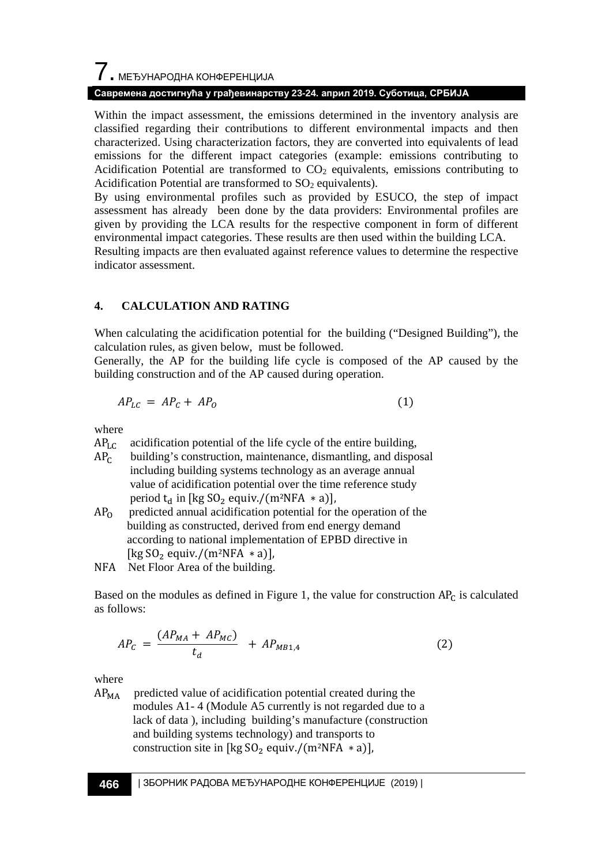# $\overline{\phantom{a}}$ . МЕЂУНАРОДНА КОНФЕРЕНЦИЈА

### **Савремена достигнућа у грађевинарству 23-24. април 2019. Суботица, СРБИЈА**

Within the impact assessment, the emissions determined in the inventory analysis are classified regarding their contributions to different environmental impacts and then characterized. Using characterization factors, they are converted into equivalents of lead emissions for the different impact categories (example: emissions contributing to Acidification Potential are transformed to  $CO<sub>2</sub>$  equivalents, emissions contributing to Acidification Potential are transformed to  $SO<sub>2</sub>$  equivalents).

By using environmental profiles such as provided by ESUCO, the step of impact assessment has already been done by the data providers: Environmental profiles are given by providing the LCA results for the respective component in form of different environmental impact categories. These results are then used within the building LCA.

Resulting impacts are then evaluated against reference values to determine the respective indicator assessment.

## **4. CALCULATION AND RATING**

When calculating the acidification potential for the building ("Designed Building"), the calculation rules, as given below, must be followed.

Generally, the AP for the building life cycle is composed of the AP caused by the building construction and of the AP caused during operation.

$$
AP_{LC} = AP_C + AP_O \tag{1}
$$

where

- $AP<sub>LC</sub>$  acidification potential of the life cycle of the entire building,  $AP<sub>C</sub>$  building's construction, maintenance, dismantling, and disposition building's construction, maintenance, dismantling, and disposal including building systems technology as an average annual value of acidification potential over the time reference study period t<sub>d</sub> in [kg SO<sub>2</sub> equiv./(m<sup>2</sup>NFA \* a)],<br>AP<sub>0</sub> predicted annual acidification potential for t
- predicted annual acidification potential for the operation of the building as constructed, derived from end energy demand according to national implementation of EPBD directive in [kg  $SO_2$  equiv./(m<sup>2</sup>NFA \* a)],
- NFA Net Floor Area of the building.

Based on the modules as defined in Figure 1, the value for construction  $AP<sub>C</sub>$  is calculated as follows:

$$
AP_C = \frac{(AP_{MA} + AP_{MC})}{t_d} + AP_{MB1,4}
$$
 (2)

where

 $AP<sub>MA</sub>$  predicted value of acidification potential created during the modules A1- 4 (Module A5 currently is not regarded due to a lack of data ), including building's manufacture (construction and building systems technology) and transports to construction site in [kg  $SO_2$  equiv./(m<sup>2</sup>NFA  $*$  a)],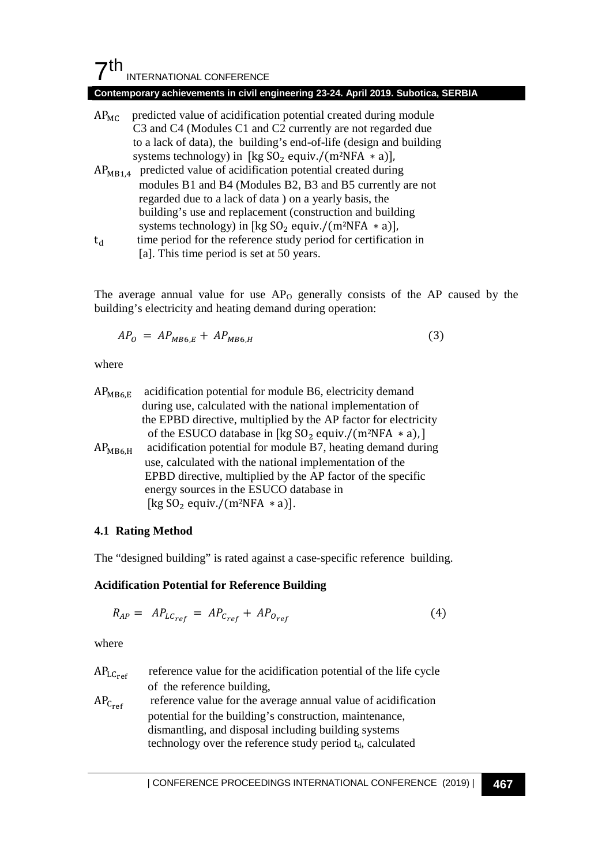## $7<sup>th</sup>$ INTERNATIONAL CONFERENCE

#### **Contemporary achievements in civil engineering 23-24. April 2019. Subotica, SERBIA**

- $AP<sub>MC</sub>$  predicted value of acidification potential created during module C3 and C4 (Modules C1 and C2 currently are not regarded due to a lack of data), the building's end-of-life (design and building systems technology) in [kg  $SO_2$  equiv./(m<sup>2</sup>NFA  $*$  a)],
- $AP<sub>MB1.4</sub>$  predicted value of acidification potential created during modules B1 and B4 (Modules B2, B3 and B5 currently are not regarded due to a lack of data ) on a yearly basis, the building's use and replacement (construction and building systems technology) in [kg SO<sub>2</sub> equiv./(m<sup>2</sup>NFA  $*$  a)],<br>t<sub>d</sub> time period for the reference study period for certificati
- time period for the reference study period for certification in [a]. This time period is set at 50 years.

The average annual value for use  $AP_0$  generally consists of the  $AP$  caused by the building's electricity and heating demand during operation:

$$
AP_0 = AP_{MB6,E} + AP_{MB6,H} \tag{3}
$$

where

| $AP_{MB6,E}$ | acidification potential for module B6, electricity demand                        |
|--------------|----------------------------------------------------------------------------------|
|              | during use, calculated with the national implementation of                       |
|              | the EPBD directive, multiplied by the AP factor for electricity                  |
|              | of the ESUCO database in [kg SO <sub>2</sub> equiv./(m <sup>2</sup> NFA $*$ a),] |
| $AP_{MB6,H}$ | acidification potential for module B7, heating demand during                     |
|              | use, calculated with the national implementation of the                          |
|              | EPBD directive, multiplied by the AP factor of the specific                      |
|              | energy sources in the ESUCO database in                                          |
|              | [kg $SO_2$ equiv./(m <sup>2</sup> NFA $*$ a)].                                   |
|              |                                                                                  |

#### **4.1 Rating Method**

The "designed building" is rated against a case-specific reference building.

## **Acidification Potential for Reference Building**

$$
R_{AP} = AP_{LC_{ref}} = AP_{C_{ref}} + AP_{O_{ref}} \tag{4}
$$

where

| $AP_{LC_{ref}}$ | reference value for the acidification potential of the life cycle      |  |
|-----------------|------------------------------------------------------------------------|--|
|                 | of the reference building,                                             |  |
| $AP_{C_{ref}}$  | reference value for the average annual value of acidification          |  |
|                 | potential for the building's construction, maintenance,                |  |
|                 | dismantling, and disposal including building systems                   |  |
|                 | technology over the reference study period t <sub>d</sub> , calculated |  |
|                 |                                                                        |  |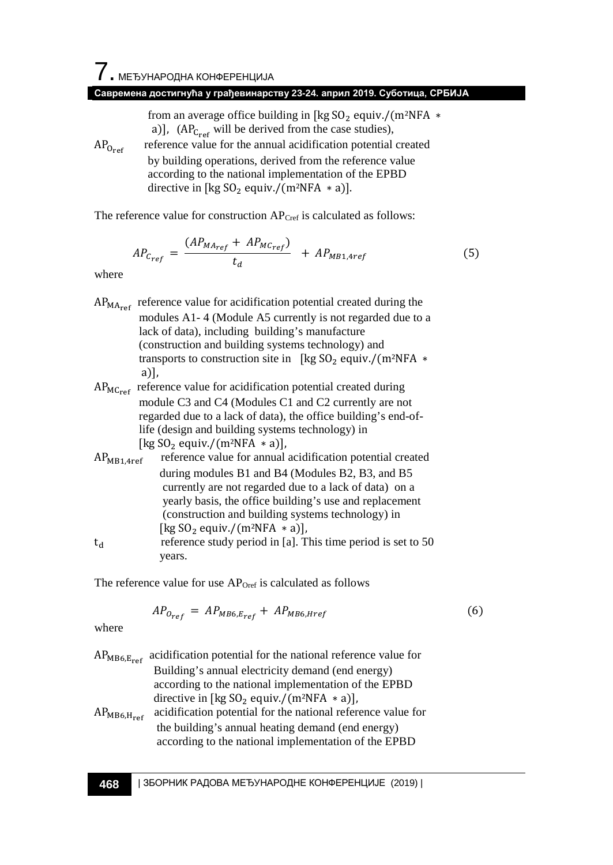from an average office building in [kg  $SO_2$  equiv./(m<sup>2</sup>NFA  $*$ a)],  $(AP_{C_{ref}}$  will be derived from the case studies),

 $AP_{O_{\text{ref}}}$  reference value for the annual acidification potential created by building operations, derived from the reference value according to the national implementation of the EPBD directive in [kg  $SO_2$  equiv./(m<sup>2</sup>NFA  $*$  a)].

The reference value for construction AP<sub>Cref</sub> is calculated as follows:

$$
AP_{C_{ref}} = \frac{(AP_{MA_{ref}} + AP_{MC_{ref}})}{t_d} + AP_{MB1,4ref}
$$
(5)

where

| $AP_{\text{MAPer}}$ reference value for acidification potential created during the |
|------------------------------------------------------------------------------------|
| modules A1-4 (Module A5 currently is not regarded due to a                         |
| lack of data), including building's manufacture                                    |
| (construction and building systems technology) and                                 |
| transports to construction site in [kg $SO_2$ equiv./(m <sup>2</sup> NFA $*$       |
| $a)$ ],                                                                            |
|                                                                                    |

- $AP_{MCref}$  reference value for acidification potential created during module C3 and C4 (Modules C1 and C2 currently are not regarded due to a lack of data), the office building's end-of life (design and building systems technology) in [kg SO<sub>2</sub> equiv./(m<sup>2</sup>NFA \* a)],<br>AP<sub>MB1.4ref</sub> reference value for annual reference value for annual acidification potential created
- during modules B1 and B4 (Modules B2, B3, and B5 currently are not regarded due to a lack of data) on a yearly basis, the office building's use and replacement (construction and building systems technology) in [kg SO<sub>2</sub> equiv./(m<sup>2</sup>NFA \* a)],<br>reference study period in [a]. T reference study period in [a]. This time period is set to 50 years.

The reference value for use  $AP<sub>Over</sub>$  is calculated as follows

$$
AP_{0ref} = AP_{MB6, Eref} + AP_{MB6, Href}
$$
 (6)

where

| $AP_{MB6, E_{ref}}$ | acidification potential for the national reference value for<br>Building's annual electricity demand (end energy)<br>according to the national implementation of the EPBD<br>directive in [kg $SO_2$ equiv./ $(m^2NFA * a)$ ],<br>AP <sub>MB6, H_{ref}</sub> | acidification potential for the national reference value for<br>the building's annual heating demand (end energy)<br>according to the national implementation of the EPBD |
|---------------------|--------------------------------------------------------------------------------------------------------------------------------------------------------------------------------------------------------------------------------------------------------------|---------------------------------------------------------------------------------------------------------------------------------------------------------------------------|
|---------------------|--------------------------------------------------------------------------------------------------------------------------------------------------------------------------------------------------------------------------------------------------------------|---------------------------------------------------------------------------------------------------------------------------------------------------------------------------|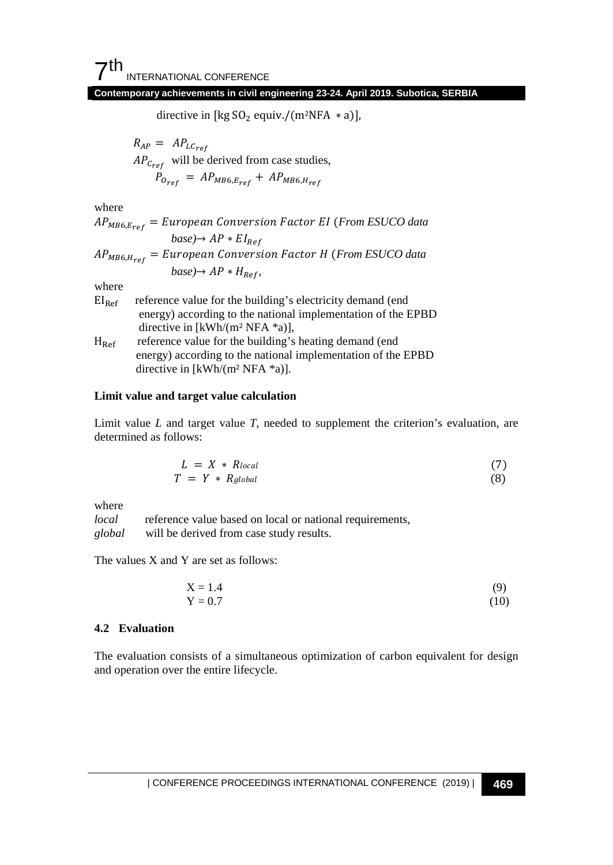directive in [kg  $SO_2$  equiv./(m<sup>2</sup>NFA  $*$  a)],

 $R_{AP} = AP_{LCref}$  $AP_{Cref}$  will be derived from case studies,  $P_{O_{ref}} = AP_{MB6, E_{ref}} + AP_{MB6, H_{ref}}$ 

where

6, = (*From ESUCO data*   $base) \rightarrow AP * EI_{Ref}$ 6, = (*From ESUCO data*   $base) \rightarrow AP * H_{Ref}$ where

| $EI_{Ref}$    | reference value for the building's electricity demand (end   |
|---------------|--------------------------------------------------------------|
|               | energy) according to the national implementation of the EPBD |
|               | directive in [kWh/(m <sup>2</sup> NFA $*$ a)],               |
| $H_{\rm Ref}$ | reference value for the building's heating demand (end)      |
|               | energy) according to the national implementation of the EPBD |
|               | directive in [kWh/(m <sup>2</sup> NFA $*$ a)].               |

#### **Limit value and target value calculation**

Limit value *L* and target value *T*, needed to supplement the criterion's evaluation, are determined as follows:

$$
L = X * R_{local}
$$
  
\n
$$
T = Y * R_{global}
$$
\n(7)

where

*local* reference value based on local or national requirements, *global* will be derived from case study results.

The values X and Y are set as follows:

$$
X = 1.4 \tag{9}
$$
  
Y = 0.7 \tag{10}

#### **4.2 Evaluation**

The evaluation consists of a simultaneous optimization of carbon equivalent for design and operation over the entire lifecycle.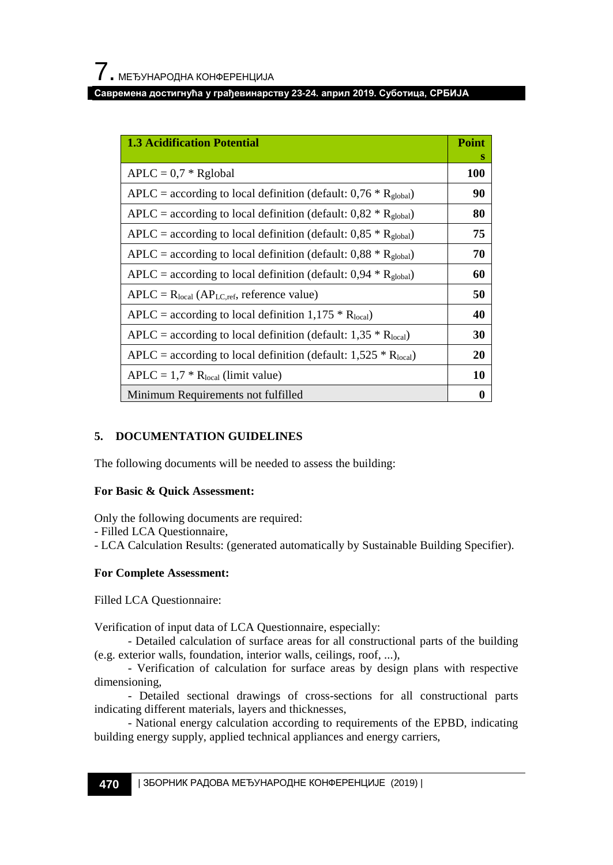| <b>1.3 Acidification Potential</b>                                          | <b>Point</b> |
|-----------------------------------------------------------------------------|--------------|
|                                                                             | s            |
| $APLC = 0.7 * Rglobal$                                                      | 100          |
| APLC = according to local definition (default: $0.76 * R_{\text{global}}$ ) | 90           |
| APLC = according to local definition (default: $0.82 * R_{\text{global}}$ ) | 80           |
| APLC = according to local definition (default: $0.85 * R_{global}$ )        | 75           |
| APLC = according to local definition (default: $0.88 * R_{\text{global}}$ ) | 70           |
| APLC = according to local definition (default: $0.94 * R_{\text{global}}$ ) | 60           |
| $APLC = Rlocal (APLC,ref, reference value)$                                 | 50           |
| APLC = according to local definition 1,175 $*$ R <sub>local</sub> )         | 40           |
| APLC = according to local definition (default: $1,35 * R_{local}$ )         | 30           |
| APLC = according to local definition (default: $1,525 * R_{local}$ )        | 20           |
| $APLC = 1.7 * Rlocal$ (limit value)                                         | 10           |
| Minimum Requirements not fulfilled                                          | $\bf{0}$     |

## **5. DOCUMENTATION GUIDELINES**

The following documents will be needed to assess the building:

## **For Basic & Quick Assessment:**

Only the following documents are required:

- Filled LCA Questionnaire,
- LCA Calculation Results: (generated automatically by Sustainable Building Specifier).

## **For Complete Assessment:**

Filled LCA Questionnaire:

Verification of input data of LCA Questionnaire, especially:

- Detailed calculation of surface areas for all constructional parts of the building (e.g. exterior walls, foundation, interior walls, ceilings, roof, ...),

- Verification of calculation for surface areas by design plans with respective dimensioning,

- Detailed sectional drawings of cross-sections for all constructional parts indicating different materials, layers and thicknesses,

- National energy calculation according to requirements of the EPBD, indicating building energy supply, applied technical appliances and energy carriers,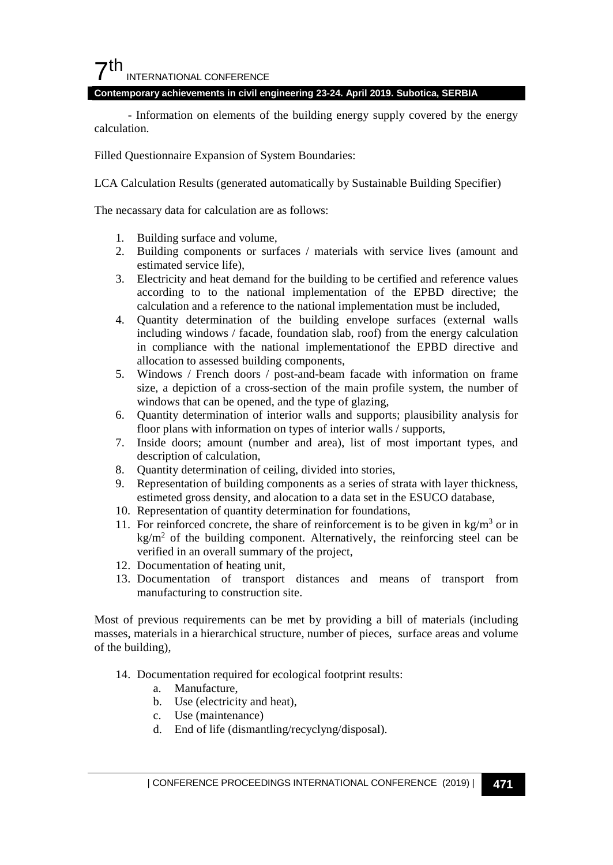## $7<sup>th</sup>$ INTERNATIONAL CONFERENCE

#### **Contemporary achievements in civil engineering 23-24. April 2019. Subotica, SERBIA**

- Information on elements of the building energy supply covered by the energy calculation.

Filled Questionnaire Expansion of System Boundaries:

LCA Calculation Results (generated automatically by Sustainable Building Specifier)

The necassary data for calculation are as follows:

- 1. Building surface and volume,
- 2. Building components or surfaces / materials with service lives (amount and estimated service life),
- 3. Electricity and heat demand for the building to be certified and reference values according to to the national implementation of the EPBD directive; the calculation and a reference to the national implementation must be included,
- 4. Quantity determination of the building envelope surfaces (external walls including windows / facade, foundation slab, roof) from the energy calculation in compliance with the national implementationof the EPBD directive and allocation to assessed building components,
- 5. Windows / French doors / post-and-beam facade with information on frame size, a depiction of a cross-section of the main profile system, the number of windows that can be opened, and the type of glazing,
- 6. Quantity determination of interior walls and supports; plausibility analysis for floor plans with information on types of interior walls / supports,
- 7. Inside doors; amount (number and area), list of most important types, and description of calculation,
- 8. Quantity determination of ceiling, divided into stories,
- 9. Representation of building components as a series of strata with layer thickness, estimeted gross density, and alocation to a data set in the ESUCO database,
- 10. Representation of quantity determination for foundations,
- 11. For reinforced concrete, the share of reinforcement is to be given in  $\text{kg/m}^3$  or in  $kg/m<sup>2</sup>$  of the building component. Alternatively, the reinforcing steel can be verified in an overall summary of the project,
- 12. Documentation of heating unit,
- 13. Documentation of transport distances and means of transport from manufacturing to construction site.

Most of previous requirements can be met by providing a bill of materials (including masses, materials in a hierarchical structure, number of pieces, surface areas and volume of the building),

- 14. Documentation required for ecological footprint results:
	- a. Manufacture,
	- b. Use (electricity and heat),
	- c. Use (maintenance)
	- d. End of life (dismantling/recyclyng/disposal).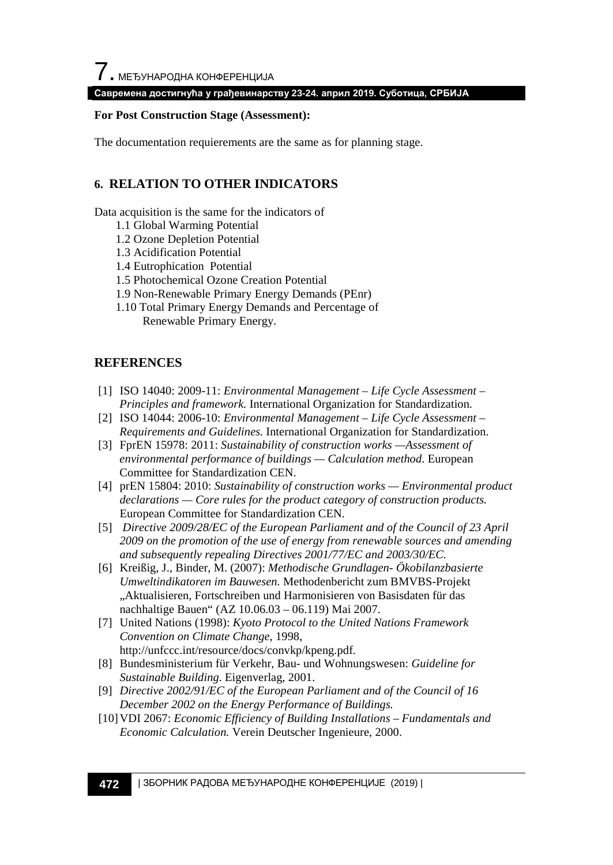#### **For Post Construction Stage (Assessment):**

The documentation requierements are the same as for planning stage.

## **6. RELATION TO OTHER INDICATORS**

Data acquisition is the same for the indicators of

- 1.1 Global Warming Potential
- 1.2 Ozone Depletion Potential
- 1.3 Acidification Potential
- 1.4 Eutrophication Potential
- 1.5 Photochemical Ozone Creation Potential
- 1.9 Non-Renewable Primary Energy Demands (PEnr)
- 1.10 Total Primary Energy Demands and Percentage of Renewable Primary Energy.

## **REFERENCES**

- [1] ISO 14040: 2009-11: *Environmental Management – Life Cycle Assessment – Principles and framework.* International Organization for Standardization.
- [2] ISO 14044: 2006-10: *Environmental Management – Life Cycle Assessment – Requirements and Guidelines.* International Organization for Standardization.
- [3] FprEN 15978: 2011: *Sustainability of construction works —Assessment of environmental performance of buildings — Calculation method*. European Committee for Standardization CEN.
- [4] prEN 15804: 2010: *Sustainability of construction works — Environmental product declarations — Core rules for the product category of construction products.* European Committee for Standardization CEN.
- [5] *Directive 2009/28/EC of the European Parliament and of the Council of 23 April 2009 on the promotion of the use of energy from renewable sources and amending and subsequently repealing Directives 2001/77/EC and 2003/30/EC.*
- [6] Kreißig, J., Binder, M. (2007): *Methodische Grundlagen- Ökobilanzbasierte Umweltindikatoren im Bauwesen.* Methodenbericht zum BMVBS-Projekt "Aktualisieren, Fortschreiben und Harmonisieren von Basisdaten für das nachhaltige Bauen" (AZ 10.06.03 – 06.119) Mai 2007.
- [7] United Nations (1998): *Kyoto Protocol to the United Nations Framework Convention on Climate Change*, 1998, http://unfccc.int/resource/docs/convkp/kpeng.pdf.
- [8] Bundesministerium für Verkehr, Bau- und Wohnungswesen: *Guideline for Sustainable Building.* Eigenverlag, 2001.
- [9] *Directive 2002/91/EC of the European Parliament and of the Council of 16 December 2002 on the Energy Performance of Buildings.*
- [10]VDI 2067: *Economic Efficiency of Building Installations – Fundamentals and Economic Calculation.* Verein Deutscher Ingenieure, 2000.